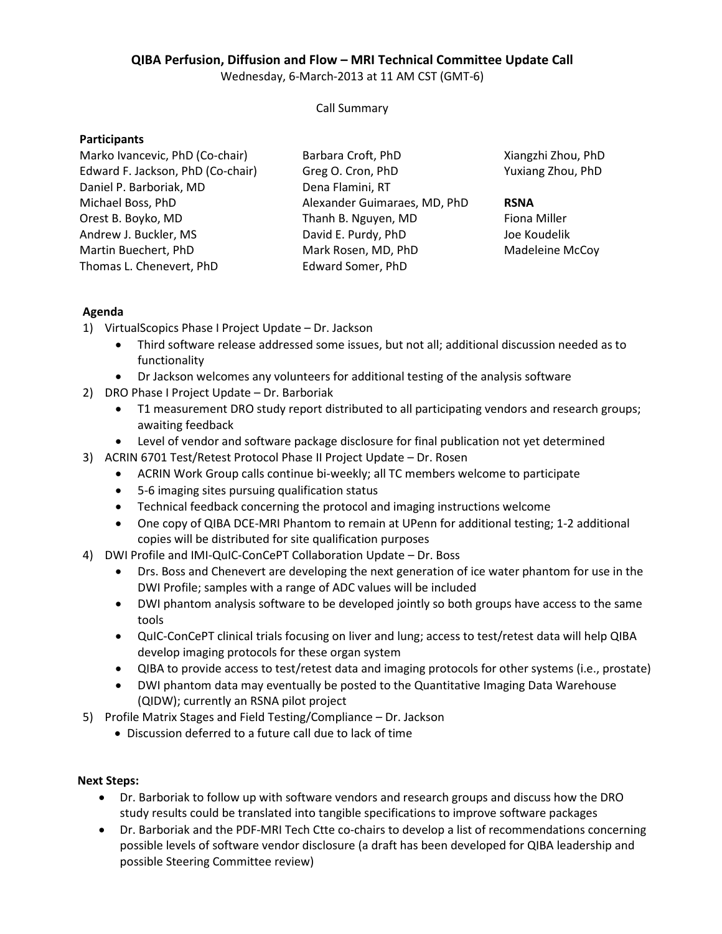# **QIBA Perfusion, Diffusion and Flow – MRI Technical Committee Update Call**

Wednesday, 6-March-2013 at 11 AM CST (GMT-6)

### Call Summary

## **Participants**

| Marko Ivancevic, PhD (Co-chair)   | Barbara Croft, PhD           | Xiangzhi Zhou, PhD |
|-----------------------------------|------------------------------|--------------------|
| Edward F. Jackson, PhD (Co-chair) | Greg O. Cron, PhD            | Yuxiang Zhou, PhD  |
| Daniel P. Barboriak, MD           | Dena Flamini, RT             |                    |
| Michael Boss, PhD                 | Alexander Guimaraes, MD, PhD | <b>RSNA</b>        |
| Orest B. Boyko, MD                | Thanh B. Nguyen, MD          | Fiona Miller       |
| Andrew J. Buckler, MS             | David E. Purdy, PhD          | Joe Koudelik       |
| Martin Buechert, PhD              | Mark Rosen, MD, PhD          | Madeleine McCoy    |
| Thomas L. Chenevert, PhD          | <b>Edward Somer, PhD</b>     |                    |

## **Agenda**

- 1) VirtualScopics Phase I Project Update Dr. Jackson
	- Third software release addressed some issues, but not all; additional discussion needed as to functionality
	- Dr Jackson welcomes any volunteers for additional testing of the analysis software
- 2) DRO Phase I Project Update Dr. Barboriak
	- T1 measurement DRO study report distributed to all participating vendors and research groups; awaiting feedback
	- Level of vendor and software package disclosure for final publication not yet determined
- 3) ACRIN 6701 Test/Retest Protocol Phase II Project Update Dr. Rosen
	- ACRIN Work Group calls continue bi-weekly; all TC members welcome to participate
	- 5-6 imaging sites pursuing qualification status
	- Technical feedback concerning the protocol and imaging instructions welcome
	- One copy of QIBA DCE-MRI Phantom to remain at UPenn for additional testing; 1-2 additional copies will be distributed for site qualification purposes
- 4) DWI Profile and IMI-QuIC-ConCePT Collaboration Update Dr. Boss
	- Drs. Boss and Chenevert are developing the next generation of ice water phantom for use in the DWI Profile; samples with a range of ADC values will be included
	- DWI phantom analysis software to be developed jointly so both groups have access to the same tools
	- QuIC-ConCePT clinical trials focusing on liver and lung; access to test/retest data will help QIBA develop imaging protocols for these organ system
	- QIBA to provide access to test/retest data and imaging protocols for other systems (i.e., prostate)
	- DWI phantom data may eventually be posted to the Quantitative Imaging Data Warehouse (QIDW); currently an RSNA pilot project
- 5) Profile Matrix Stages and Field Testing/Compliance Dr. Jackson
	- Discussion deferred to a future call due to lack of time

#### **Next Steps:**

- Dr. Barboriak to follow up with software vendors and research groups and discuss how the DRO study results could be translated into tangible specifications to improve software packages
- Dr. Barboriak and the PDF-MRI Tech Ctte co-chairs to develop a list of recommendations concerning possible levels of software vendor disclosure (a draft has been developed for QIBA leadership and possible Steering Committee review)